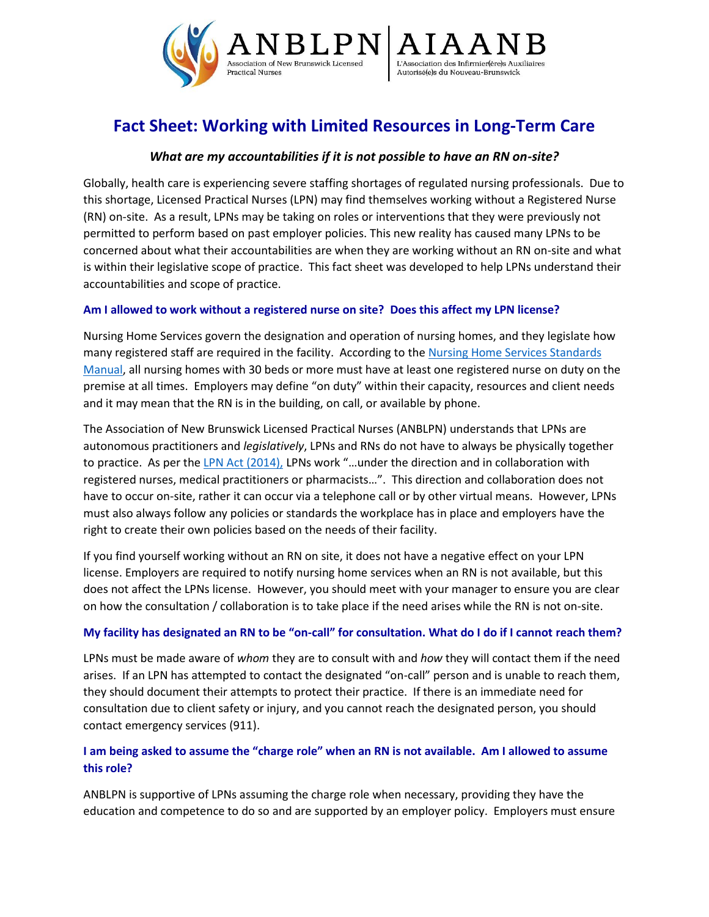

# **Fact Sheet: Working with Limited Resources in Long-Term Care**

## *What are my accountabilities if it is not possible to have an RN on-site?*

Globally, health care is experiencing severe staffing shortages of regulated nursing professionals. Due to this shortage, Licensed Practical Nurses (LPN) may find themselves working without a Registered Nurse (RN) on-site. As a result, LPNs may be taking on roles or interventions that they were previously not permitted to perform based on past employer policies. This new reality has caused many LPNs to be concerned about what their accountabilities are when they are working without an RN on-site and what is within their legislative scope of practice. This fact sheet was developed to help LPNs understand their accountabilities and scope of practice.

## **Am I allowed to work without a registered nurse on site? Does this affect my LPN license?**

Nursing Home Services govern the designation and operation of nursing homes, and they legislate how many registered staff are required in the facility. According to the [Nursing Home Services Standards](https://www2.gnb.ca/content/dam/gnb/Departments/sd-ds/pdf/Standards/NursingHomesStandardsManual.pdf)  [Manual,](https://www2.gnb.ca/content/dam/gnb/Departments/sd-ds/pdf/Standards/NursingHomesStandardsManual.pdf) all nursing homes with 30 beds or more must have at least one registered nurse on duty on the premise at all times. Employers may define "on duty" within their capacity, resources and client needs and it may mean that the RN is in the building, on call, or available by phone.

The Association of New Brunswick Licensed Practical Nurses (ANBLPN) understands that LPNs are autonomous practitioners and *legislatively*, LPNs and RNs do not have to always be physically together to practice. As per th[e LPN Act \(2014\),](https://www.anblpn.ca/wp-content/uploads/2021/04/LPN_Act-2014.pdf) LPNs work "…under the direction and in collaboration with registered nurses, medical practitioners or pharmacists…". This direction and collaboration does not have to occur on-site, rather it can occur via a telephone call or by other virtual means. However, LPNs must also always follow any policies or standards the workplace has in place and employers have the right to create their own policies based on the needs of their facility.

If you find yourself working without an RN on site, it does not have a negative effect on your LPN license. Employers are required to notify nursing home services when an RN is not available, but this does not affect the LPNs license. However, you should meet with your manager to ensure you are clear on how the consultation / collaboration is to take place if the need arises while the RN is not on-site.

### **My facility has designated an RN to be "on-call" for consultation. What do I do if I cannot reach them?**

LPNs must be made aware of *whom* they are to consult with and *how* they will contact them if the need arises. If an LPN has attempted to contact the designated "on-call" person and is unable to reach them, they should document their attempts to protect their practice. If there is an immediate need for consultation due to client safety or injury, and you cannot reach the designated person, you should contact emergency services (911).

## **I am being asked to assume the "charge role" when an RN is not available. Am I allowed to assume this role?**

ANBLPN is supportive of LPNs assuming the charge role when necessary, providing they have the education and competence to do so and are supported by an employer policy. Employers must ensure